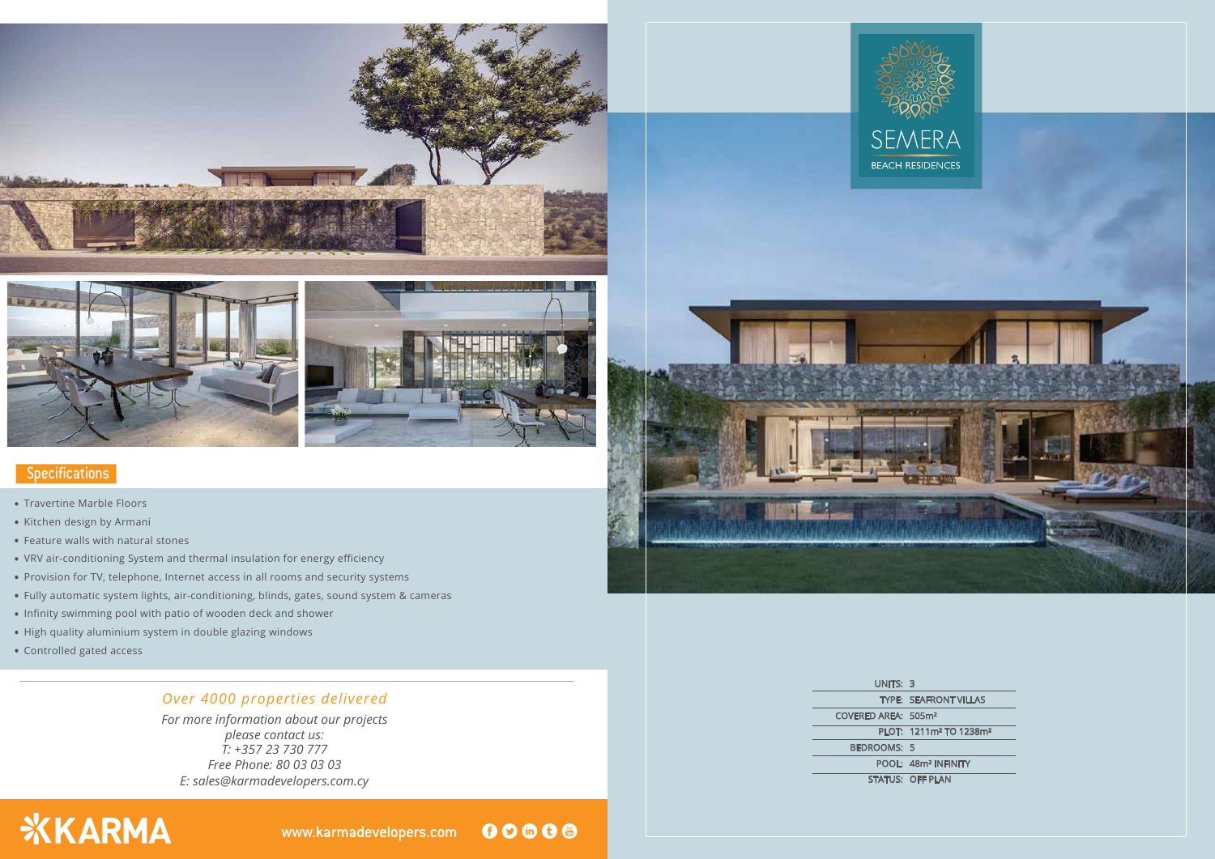





### **Specifications**

*E: sales@karmadevelopers.com.cy For more information about our projects please contact us: T: +357 23 730 777 Free Phone: 80 03 03 03*

# **XKARMA**

00000 www.karmadevelopers.com



### *Over 4000 properties delivered*

- . Travertine Marble Floors
- . Kitchen design by Armani
- . Feature walls with natural stones
- . VRV air-conditioning System and thermal insulation for energy efficiency
- . Provision for TV, telephone, Internet access in all rooms and security systems
- . Fully automatic system lights, air-conditioning, blinds, gates, sound system & cameras
- . Infinity swimming pool with patio of wooden deck and shower
- . High quality aluminium system in double glazing windows
- . Controlled gated access

UNITS: 3 TYPE: SEAFRONT VILLAS COVERED AREA: 505m² PLOT: 1211m² TO 1238m² BEDROOMS: 5 POOL: 48m² INFINITY STATUS: OFF PLAN